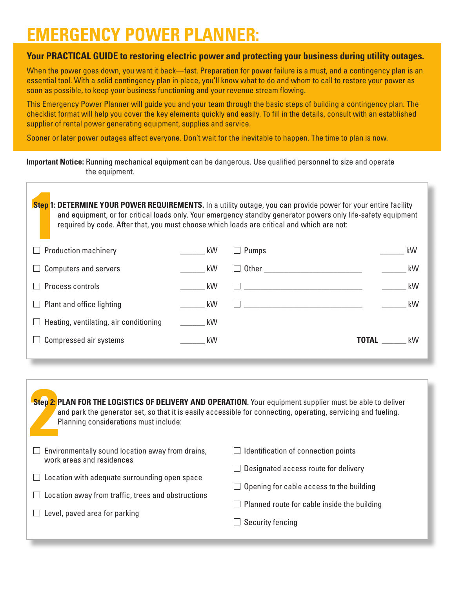## **EMERGENCY POWER PLANNER:**

## **Your PRACTICAL GUIDE to restoring electric power and protecting your business during utility outages.**

When the power goes down, you want it back—fast. Preparation for power failure is a must, and a contingency plan is an essential tool. With a solid contingency plan in place, you'll know what to do and whom to call to restore your power as soon as possible, to keep your business functioning and your revenue stream flowing.

This Emergency Power Planner will guide you and your team through the basic steps of building a contingency plan. The checklist format will help you cover the key elements quickly and easily. To fill in the details, consult with an established supplier of rental power generating equipment, supplies and service.

Sooner or later power outages affect everyone. Don't wait for the inevitable to happen. The time to plan is now.

| <b>Important Notice:</b> Running mechanical equipment can be dangerous. Use qualified personnel to size and operate |  |
|---------------------------------------------------------------------------------------------------------------------|--|
| the equipment.                                                                                                      |  |

| required by code. After that, you must choose which loads are critical and which are not: |     | Step 1: DETERMINE YOUR POWER REQUIREMENTS. In a utility outage, you can provide power for your entire facility<br>and equipment, or for critical loads only. Your emergency standby generator powers only life-safety equipment |    |
|-------------------------------------------------------------------------------------------|-----|---------------------------------------------------------------------------------------------------------------------------------------------------------------------------------------------------------------------------------|----|
| <b>Example 1 Production machinery</b>                                                     | kW. | $\blacksquare$ Pumns                                                                                                                                                                                                            | kW |

| kW |
|----|
| kW |
| kW |
| kW |
|    |
| kW |
|    |

**22 Step 2: Step 2: PLAN FOR THE LOGISTICS OF DELIVERY AND OPERATION.** Your equipment supplier must be able to deliver and park the generator set, so that it is easily accessible for connecting, operating, servicing and fueling. Planning considerations must include:

| $\Box$ Environmentally sound location away from drains,<br>work areas and residences | $\Box$ Identification of connection points         |
|--------------------------------------------------------------------------------------|----------------------------------------------------|
|                                                                                      | $\Box$ Designated access route for delivery        |
| $\Box$ Location with adequate surrounding open space                                 | $\Box$ Opening for cable access to the building    |
| $\Box$ Location away from traffic, trees and obstructions                            | $\Box$ Planned route for cable inside the building |
| $\Box$ Level, paved area for parking                                                 |                                                    |
|                                                                                      | $\Box$ Security fencing                            |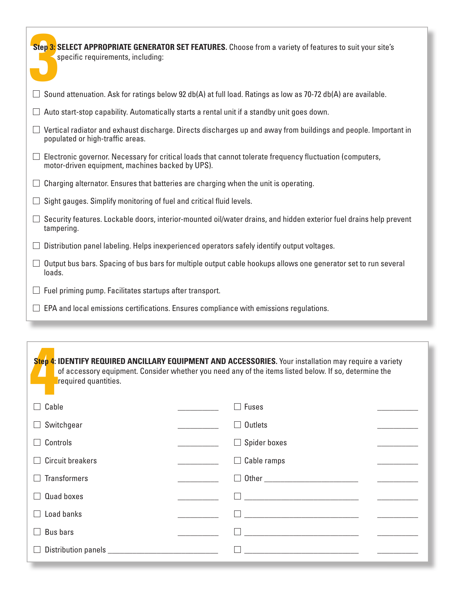| Step 3: SELECT APPROPRIATE GENERATOR SET FEATURES. Choose from a variety of features to suit your site's<br>specific requirements, including:                |
|--------------------------------------------------------------------------------------------------------------------------------------------------------------|
| Sound attenuation. Ask for ratings below 92 db(A) at full load. Ratings as low as 70-72 db(A) are available.                                                 |
| Auto start-stop capability. Automatically starts a rental unit if a standby unit goes down.                                                                  |
| Vertical radiator and exhaust discharge. Directs discharges up and away from buildings and people. Important in<br>populated or high-traffic areas.          |
| Electronic governor. Necessary for critical loads that cannot tolerate frequency fluctuation (computers,<br>motor-driven equipment, machines backed by UPS). |
| Charging alternator. Ensures that batteries are charging when the unit is operating.                                                                         |
| Sight gauges. Simplify monitoring of fuel and critical fluid levels.                                                                                         |
| Security features. Lockable doors, interior-mounted oil/water drains, and hidden exterior fuel drains help prevent<br>tampering.                             |
| Distribution panel labeling. Helps inexperienced operators safely identify output voltages.                                                                  |
| Output bus bars. Spacing of bus bars for multiple output cable hookups allows one generator set to run several<br>loads.                                     |
| Fuel priming pump. Facilitates startups after transport.                                                                                                     |

 $\Box$  EPA and local emissions certifications. Ensures compliance with emissions regulations.

**4 Step 4: IDENTIFY REQUIRED ANCILLARY EQUIPMENT AND ACCESSORIES.** Your installation may require a variety of accessory equipment. Consider whether you need any of the items listed below. If so, determine the required quantities.

| Cable<br>$\Box$                     | <b>Fuses</b>                                         |  |
|-------------------------------------|------------------------------------------------------|--|
| Switchgear<br>⊔                     | Outlets                                              |  |
| Controls<br>$\perp$                 | Spider boxes<br>$\blacksquare$                       |  |
| <b>Circuit breakers</b><br>$\Box$   | $\Box$ Cable ramps                                   |  |
| <b>Transformers</b><br>$\mathbf{L}$ | $\blacksquare$                                       |  |
| Quad boxes<br>$\Box$                | <u> 1980 - Jan Barnett, fransk politik (d. 1980)</u> |  |
| Load banks<br>$\Box$                |                                                      |  |
| <b>Bus bars</b>                     |                                                      |  |
| $\Box$                              |                                                      |  |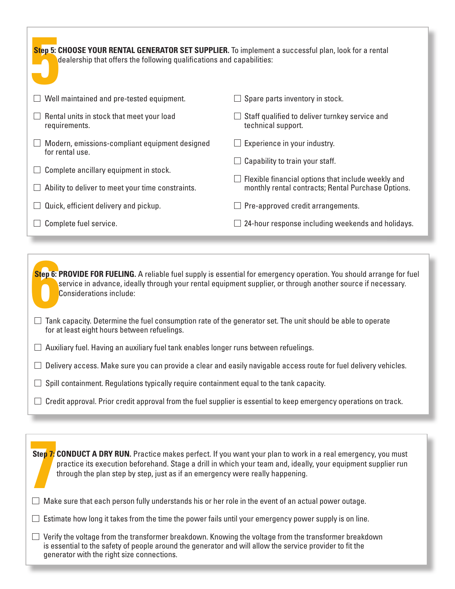| Step 5: CHOOSE YOUR RENTAL GENERATOR SET SUPPLIER. To implement a successful plan, look for a rental<br>dealership that offers the following qualifications and capabilities: |                                                                                                          |  |
|-------------------------------------------------------------------------------------------------------------------------------------------------------------------------------|----------------------------------------------------------------------------------------------------------|--|
| Well maintained and pre-tested equipment.                                                                                                                                     | Spare parts inventory in stock.                                                                          |  |
| Rental units in stock that meet your load<br>requirements.                                                                                                                    | Staff qualified to deliver turnkey service and<br>technical support.                                     |  |
| Modern, emissions-compliant equipment designed<br>for rental use.                                                                                                             | Experience in your industry.                                                                             |  |
| Complete ancillary equipment in stock.                                                                                                                                        | Capability to train your staff.                                                                          |  |
| Ability to deliver to meet your time constraints.                                                                                                                             | Flexible financial options that include weekly and<br>monthly rental contracts; Rental Purchase Options. |  |
| Quick, efficient delivery and pickup.                                                                                                                                         | Pre-approved credit arrangements.                                                                        |  |
| Complete fuel service.                                                                                                                                                        | 24-hour response including weekends and holidays.                                                        |  |

**Step 6: 1 Step 6: PROVIDE FOR FUELING.** A reliable fuel supply is essential for emergency operation. You should arrange for fuel service in advance, ideally through your rental equipment supplier, or through another source if necessary. Considerations include:

- $\Box$  Tank capacity. Determine the fuel consumption rate of the generator set. The unit should be able to operate for at least eight hours between refuelings.
- $\Box$  Auxiliary fuel. Having an auxiliary fuel tank enables longer runs between refuelings.

 $\Box$  Delivery access. Make sure you can provide a clear and easily navigable access route for fuel delivery vehicles.

- $\Box$  Spill containment. Regulations typically require containment equal to the tank capacity.
- $\Box$  Credit approval. Prior credit approval from the fuel supplier is essential to keep emergency operations on track.

**Step 7: 4**<br>**1**<br>**1**<br>**1** Mak **Step 7: CONDUCT A DRY RUN.** Practice makes perfect. If you want your plan to work in a real emergency, you must practice its execution beforehand. Stage a drill in which your team and, ideally, your equipment supplier run through the plan step by step, just as if an emergency were really happening.

 $\Box$  Make sure that each person fully understands his or her role in the event of an actual power outage.

 $\Box$  Estimate how long it takes from the time the power fails until your emergency power supply is on line.

 $\Box$  Verify the voltage from the transformer breakdown. Knowing the voltage from the transformer breakdown is essential to the safety of people around the generator and will allow the service provider to fit the generator with the right size connections.